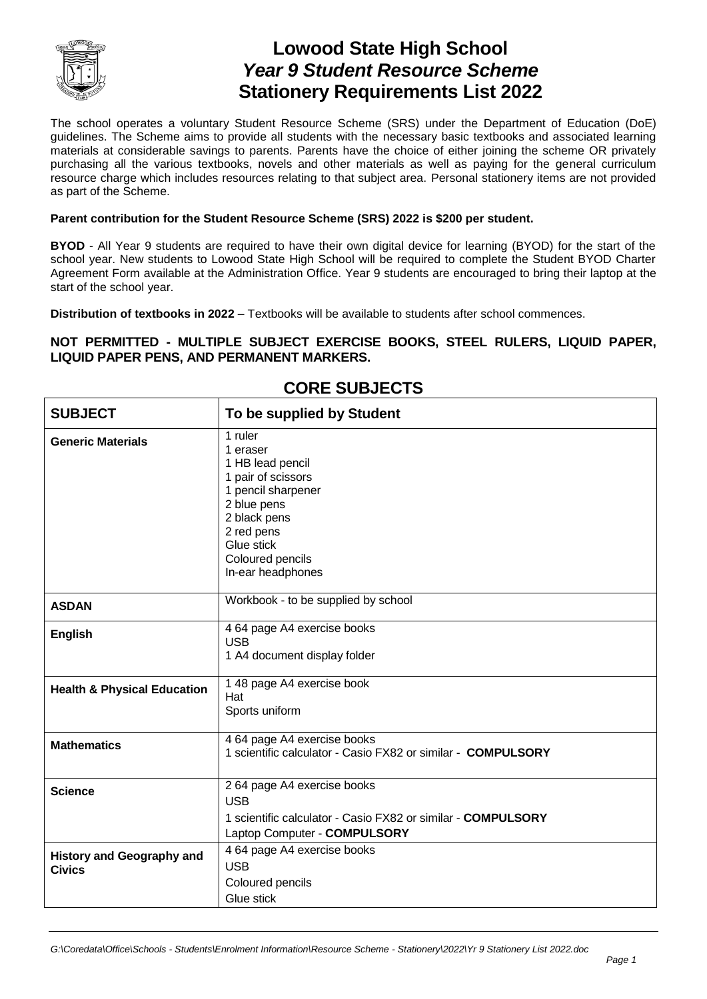

# **Lowood State High School** *Year 9 Student Resource Scheme* **Stationery Requirements List 2022**

The school operates a voluntary Student Resource Scheme (SRS) under the Department of Education (DoE) guidelines. The Scheme aims to provide all students with the necessary basic textbooks and associated learning materials at considerable savings to parents. Parents have the choice of either joining the scheme OR privately purchasing all the various textbooks, novels and other materials as well as paying for the general curriculum resource charge which includes resources relating to that subject area. Personal stationery items are not provided as part of the Scheme.

### **Parent contribution for the Student Resource Scheme (SRS) 2022 is \$200 per student.**

**BYOD** - All Year 9 students are required to have their own digital device for learning (BYOD) for the start of the school year. New students to Lowood State High School will be required to complete the Student BYOD Charter Agreement Form available at the Administration Office. Year 9 students are encouraged to bring their laptop at the start of the school year.

**Distribution of textbooks in 2022** – Textbooks will be available to students after school commences.

### **NOT PERMITTED - MULTIPLE SUBJECT EXERCISE BOOKS, STEEL RULERS, LIQUID PAPER, LIQUID PAPER PENS, AND PERMANENT MARKERS.**

| <b>SUBJECT</b>                                    | To be supplied by Student                                                                                                                                                               |
|---------------------------------------------------|-----------------------------------------------------------------------------------------------------------------------------------------------------------------------------------------|
| <b>Generic Materials</b>                          | 1 ruler<br>1 eraser<br>1 HB lead pencil<br>1 pair of scissors<br>1 pencil sharpener<br>2 blue pens<br>2 black pens<br>2 red pens<br>Glue stick<br>Coloured pencils<br>In-ear headphones |
| <b>ASDAN</b>                                      | Workbook - to be supplied by school                                                                                                                                                     |
| <b>English</b>                                    | 4 64 page A4 exercise books<br><b>USB</b><br>1 A4 document display folder                                                                                                               |
| <b>Health &amp; Physical Education</b>            | 1 48 page A4 exercise book<br>Hat<br>Sports uniform                                                                                                                                     |
| <b>Mathematics</b>                                | 4 64 page A4 exercise books<br>1 scientific calculator - Casio FX82 or similar - COMPULSORY                                                                                             |
| <b>Science</b>                                    | 2 64 page A4 exercise books<br><b>USB</b><br>1 scientific calculator - Casio FX82 or similar - <b>COMPULSORY</b><br>Laptop Computer - COMPULSORY                                        |
| <b>History and Geography and</b><br><b>Civics</b> | 4 64 page A4 exercise books<br><b>USB</b><br>Coloured pencils<br>Glue stick                                                                                                             |

### **CORE SUBJECTS**